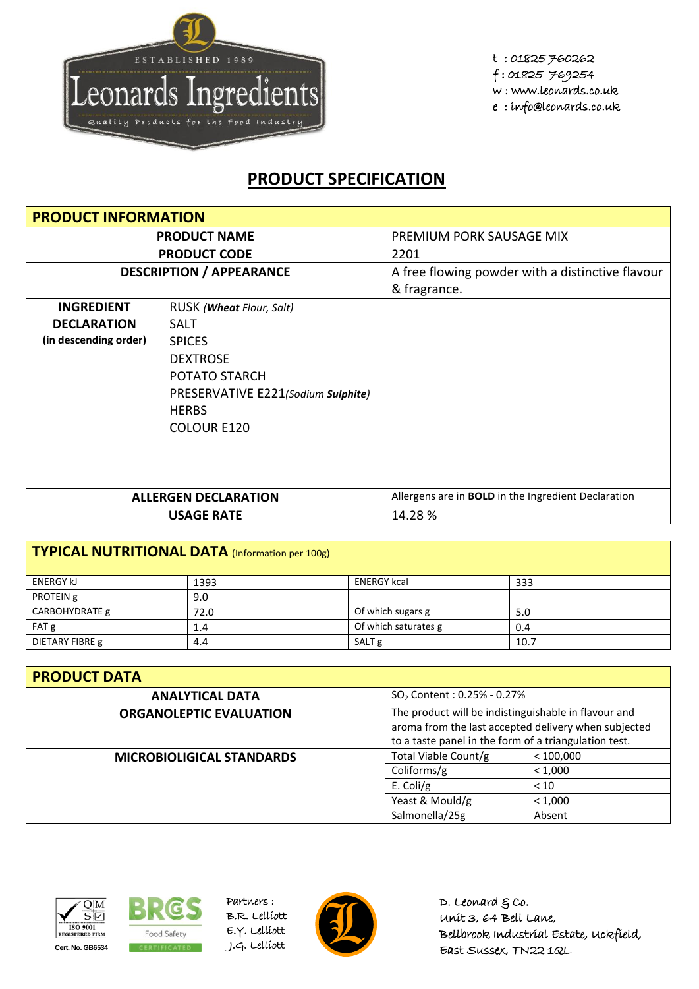

t : 01825 760262 f : 01825 769254 w : www.leonards.co.uk e : info@leonards.co.uk

## **PRODUCT SPECIFICATION**

| <b>PRODUCT INFORMATION</b>      |                                    |                                                            |
|---------------------------------|------------------------------------|------------------------------------------------------------|
| <b>PRODUCT NAME</b>             |                                    | PREMIUM PORK SAUSAGE MIX                                   |
|                                 | <b>PRODUCT CODE</b>                | 2201                                                       |
| <b>DESCRIPTION / APPEARANCE</b> |                                    | A free flowing powder with a distinctive flavour           |
|                                 |                                    | & fragrance.                                               |
| <b>INGREDIENT</b>               | RUSK ( <b>Wheat</b> Flour, Salt)   |                                                            |
| <b>DECLARATION</b>              | <b>SALT</b>                        |                                                            |
| (in descending order)           | <b>SPICES</b>                      |                                                            |
|                                 | <b>DEXTROSE</b>                    |                                                            |
|                                 | POTATO STARCH                      |                                                            |
|                                 | PRESERVATIVE E221(Sodium Sulphite) |                                                            |
|                                 | <b>HERBS</b>                       |                                                            |
|                                 | <b>COLOUR E120</b>                 |                                                            |
|                                 |                                    |                                                            |
|                                 |                                    |                                                            |
|                                 |                                    |                                                            |
|                                 | <b>ALLERGEN DECLARATION</b>        | Allergens are in <b>BOLD</b> in the Ingredient Declaration |
|                                 | <b>USAGE RATE</b>                  | 14.28 %                                                    |

| TYPICAL NUTRITIONAL DATA (Information per 100g) |      |                      |      |  |
|-------------------------------------------------|------|----------------------|------|--|
| <b>ENERGY KJ</b>                                | 1393 | <b>ENERGY kcal</b>   | 333  |  |
| PROTEIN g                                       | 9.0  |                      |      |  |
| CARBOHYDRATE g                                  | 72.0 | Of which sugars g    | 5.0  |  |
| FAT g                                           | 1.4  | Of which saturates g | 0.4  |  |
| DIETARY FIBRE g                                 | 4.4  | SALT <sub>g</sub>    | 10.7 |  |

| <b>PRODUCT DATA</b>              |                                                                                                                                                                       |           |  |  |
|----------------------------------|-----------------------------------------------------------------------------------------------------------------------------------------------------------------------|-----------|--|--|
| <b>ANALYTICAL DATA</b>           | $SO_2$ Content : 0.25% - 0.27%                                                                                                                                        |           |  |  |
| <b>ORGANOLEPTIC EVALUATION</b>   | The product will be indistinguishable in flavour and<br>aroma from the last accepted delivery when subjected<br>to a taste panel in the form of a triangulation test. |           |  |  |
| <b>MICROBIOLIGICAL STANDARDS</b> | Total Viable Count/g                                                                                                                                                  | < 100.000 |  |  |
|                                  | Coliforms/g<br>< 1,000                                                                                                                                                |           |  |  |
|                                  | E. Coli/g<br>< 10                                                                                                                                                     |           |  |  |
|                                  | Yeast & Mould/g                                                                                                                                                       | < 1,000   |  |  |
|                                  | Salmonella/25g                                                                                                                                                        | Absent    |  |  |





Partners : B.R. Lelliott E.Y. Lelliott



D. Leonard  $g$  co. Unit 3, 64 Bell Lane, Bellbrook Industrial Estate, Uckfield, East Sussex, TN22 1QL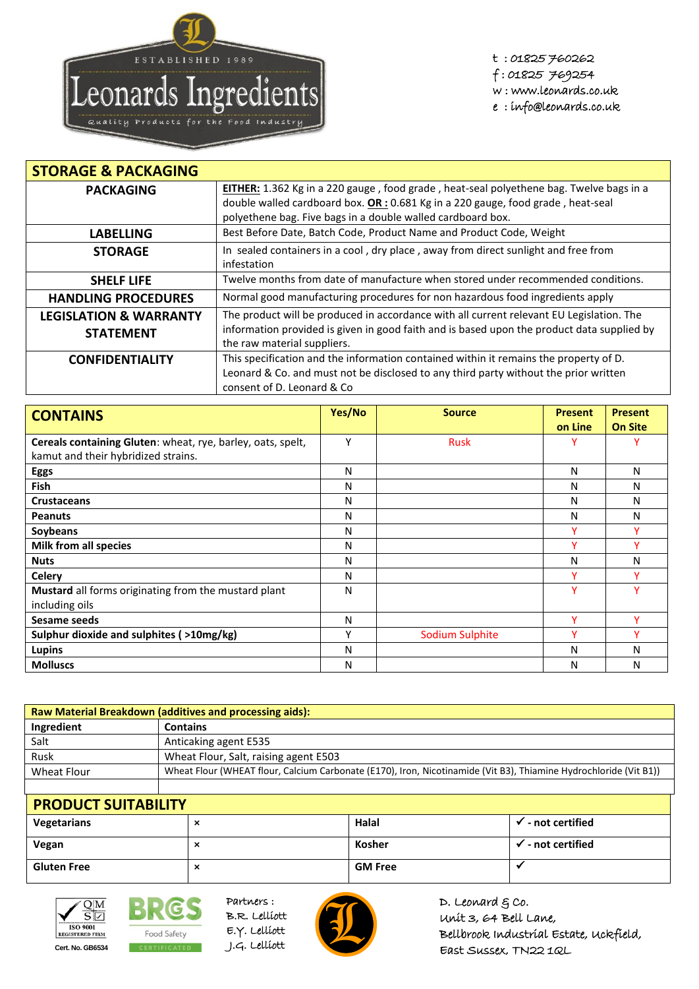

t : 01825 760262 f : 01825 769254 w : www.leonards.co.uk e : info@leonards.co.uk

| <b>STORAGE &amp; PACKAGING</b>    |                                                                                                                           |
|-----------------------------------|---------------------------------------------------------------------------------------------------------------------------|
| <b>PACKAGING</b>                  | EITHER: 1.362 Kg in a 220 gauge, food grade, heat-seal polyethene bag. Twelve bags in a                                   |
|                                   | double walled cardboard box. $OR: 0.681$ Kg in a 220 gauge, food grade, heat-seal                                         |
|                                   | polyethene bag. Five bags in a double walled cardboard box.                                                               |
| <b>LABELLING</b>                  | Best Before Date, Batch Code, Product Name and Product Code, Weight                                                       |
| <b>STORAGE</b>                    | In sealed containers in a cool, dry place, away from direct sunlight and free from<br>infestation                         |
| <b>SHELF LIFE</b>                 | Twelve months from date of manufacture when stored under recommended conditions.                                          |
| <b>HANDLING PROCEDURES</b>        | Normal good manufacturing procedures for non hazardous food ingredients apply                                             |
| <b>LEGISLATION &amp; WARRANTY</b> | The product will be produced in accordance with all current relevant EU Legislation. The                                  |
| <b>STATEMENT</b>                  | information provided is given in good faith and is based upon the product data supplied by<br>the raw material suppliers. |
| <b>CONFIDENTIALITY</b>            | This specification and the information contained within it remains the property of D.                                     |
|                                   | Leonard & Co. and must not be disclosed to any third party without the prior written<br>consent of D. Leonard & Co.       |

| <b>CONTAINS</b>                                             | Yes/No | <b>Source</b>   | <b>Present</b> | <b>Present</b> |
|-------------------------------------------------------------|--------|-----------------|----------------|----------------|
|                                                             |        |                 | on Line        | <b>On Site</b> |
| Cereals containing Gluten: wheat, rye, barley, oats, spelt, | Υ      | <b>Rusk</b>     |                |                |
| kamut and their hybridized strains.                         |        |                 |                |                |
| <b>Eggs</b>                                                 | N      |                 | N              | N              |
| <b>Fish</b>                                                 | N      |                 | N              | N              |
| <b>Crustaceans</b>                                          | N      |                 | N              | N              |
| <b>Peanuts</b>                                              | N      |                 | N              | N              |
| Soybeans                                                    | N      |                 | v              |                |
| Milk from all species                                       | N      |                 | v              | v              |
| <b>Nuts</b>                                                 | N      |                 | N              | N              |
| <b>Celery</b>                                               | N      |                 | ۷              | v              |
| Mustard all forms originating from the mustard plant        | N      |                 | Y              | v              |
| including oils                                              |        |                 |                |                |
| Sesame seeds                                                | N      |                 | v              | v              |
| Sulphur dioxide and sulphites (>10mg/kg)                    | ٧      | Sodium Sulphite | v              | v              |
| <b>Lupins</b>                                               | N      |                 | N              | N              |
| <b>Molluscs</b>                                             | N      |                 | N              | Ν              |

| <b>Raw Material Breakdown (additives and processing aids):</b> |                                                                                                                   |  |  |
|----------------------------------------------------------------|-------------------------------------------------------------------------------------------------------------------|--|--|
| Ingredient                                                     | <b>Contains</b>                                                                                                   |  |  |
| Salt                                                           | Anticaking agent E535                                                                                             |  |  |
| Rusk                                                           | Wheat Flour, Salt, raising agent E503                                                                             |  |  |
| Wheat Flour                                                    | Wheat Flour (WHEAT flour, Calcium Carbonate (E170), Iron, Nicotinamide (Vit B3), Thiamine Hydrochloride (Vit B1)) |  |  |
|                                                                |                                                                                                                   |  |  |

| <b>PRODUCT SUITABILITY</b> |   |                |                                          |
|----------------------------|---|----------------|------------------------------------------|
| Vegetarians                | ⌒ | Halal          | $\overline{\phantom{a}}$ - not certified |
| Vegan                      | ⌒ | Kosher         | - not certified                          |
| <b>Gluten Free</b>         | ᄉ | <b>GM Free</b> |                                          |



BRG. Food Safety **Cert. No. GB6534** CERTIFICATED J.G. Lelliott



Partners :

D. Leonard  $g$  co. Unit 3, 64 Bell Lane, Bellbrook Industrial Estate, Uckfield, East Sussex, TN22 1QL